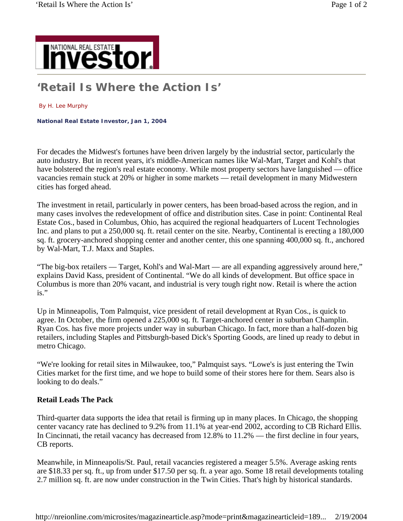

## **'Retail Is Where the Action Is'**

## By H. Lee Murphy

**National Real Estate Investor, Jan 1, 2004** 

For decades the Midwest's fortunes have been driven largely by the industrial sector, particularly the auto industry. But in recent years, it's middle-American names like Wal-Mart, Target and Kohl's that have bolstered the region's real estate economy. While most property sectors have languished — office vacancies remain stuck at 20% or higher in some markets — retail development in many Midwestern cities has forged ahead.

The investment in retail, particularly in power centers, has been broad-based across the region, and in many cases involves the redevelopment of office and distribution sites. Case in point: Continental Real Estate Cos., based in Columbus, Ohio, has acquired the regional headquarters of Lucent Technologies Inc. and plans to put a 250,000 sq. ft. retail center on the site. Nearby, Continental is erecting a 180,000 sq. ft. grocery-anchored shopping center and another center, this one spanning 400,000 sq. ft., anchored by Wal-Mart, T.J. Maxx and Staples.

"The big-box retailers — Target, Kohl's and Wal-Mart — are all expanding aggressively around here," explains David Kass, president of Continental. "We do all kinds of development. But office space in Columbus is more than 20% vacant, and industrial is very tough right now. Retail is where the action is."

Up in Minneapolis, Tom Palmquist, vice president of retail development at Ryan Cos., is quick to agree. In October, the firm opened a 225,000 sq. ft. Target-anchored center in suburban Champlin. Ryan Cos. has five more projects under way in suburban Chicago. In fact, more than a half-dozen big retailers, including Staples and Pittsburgh-based Dick's Sporting Goods, are lined up ready to debut in metro Chicago.

"We're looking for retail sites in Milwaukee, too," Palmquist says. "Lowe's is just entering the Twin Cities market for the first time, and we hope to build some of their stores here for them. Sears also is looking to do deals."

## **Retail Leads The Pack**

Third-quarter data supports the idea that retail is firming up in many places. In Chicago, the shopping center vacancy rate has declined to 9.2% from 11.1% at year-end 2002, according to CB Richard Ellis. In Cincinnati, the retail vacancy has decreased from 12.8% to 11.2% — the first decline in four years, CB reports.

Meanwhile, in Minneapolis/St. Paul, retail vacancies registered a meager 5.5%. Average asking rents are \$18.33 per sq. ft., up from under \$17.50 per sq. ft. a year ago. Some 18 retail developments totaling 2.7 million sq. ft. are now under construction in the Twin Cities. That's high by historical standards.